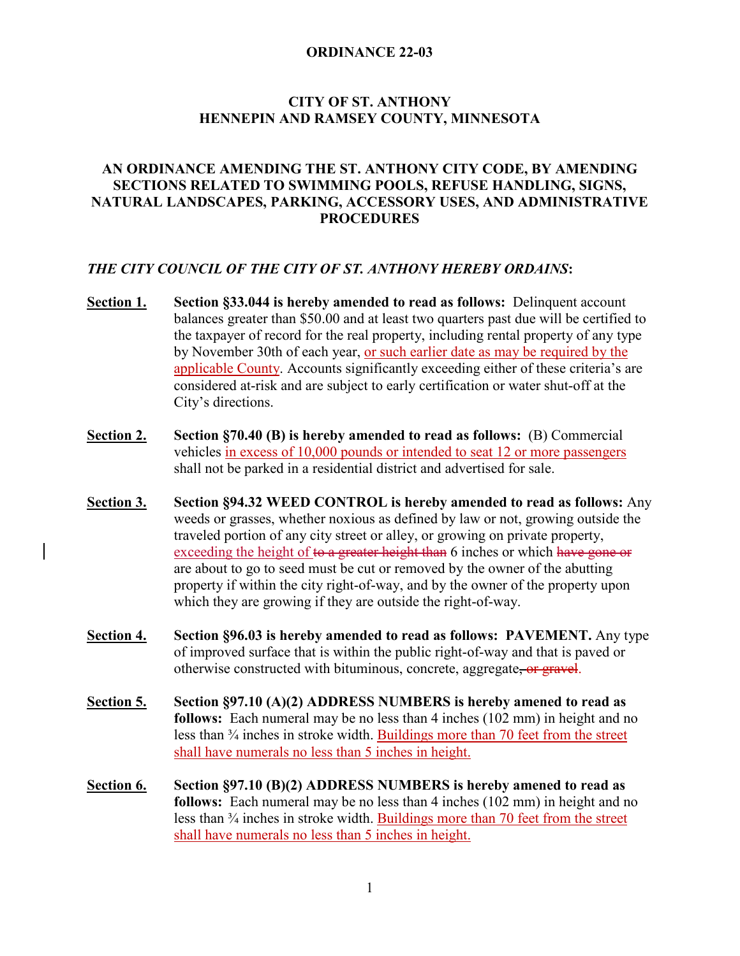# **CITY OF ST. ANTHONY HENNEPIN AND RAMSEY COUNTY, MINNESOTA**

# **AN ORDINANCE AMENDING THE ST. ANTHONY CITY CODE, BY AMENDING SECTIONS RELATED TO SWIMMING POOLS, REFUSE HANDLING, SIGNS, NATURAL LANDSCAPES, PARKING, ACCESSORY USES, AND ADMINISTRATIVE PROCEDURES**

### *THE CITY COUNCIL OF THE CITY OF ST. ANTHONY HEREBY ORDAINS***:**

- **Section 1. Section §33.044 is hereby amended to read as follows:** Delinquent account balances greater than \$50.00 and at least two quarters past due will be certified to the taxpayer of record for the real property, including rental property of any type by November 30th of each year, or such earlier date as may be required by the applicable County. Accounts significantly exceeding either of these criteria's are considered at-risk and are subject to early certification or water shut-off at the City's directions.
- **Section 2. Section §70.40 (B) is hereby amended to read as follows:** (B) Commercial vehicles in excess of 10,000 pounds or intended to seat 12 or more passengers shall not be parked in a residential district and advertised for sale.
- **Section 3. Section §94.32 WEED CONTROL is hereby amended to read as follows:** Any weeds or grasses, whether noxious as defined by law or not, growing outside the traveled portion of any city street or alley, or growing on private property, exceeding the height of to a greater height than 6 inches or which have gone or are about to go to seed must be cut or removed by the owner of the abutting property if within the city right-of-way, and by the owner of the property upon which they are growing if they are outside the right-of-way.
- **Section 4. Section §96.03 is hereby amended to read as follows: PAVEMENT.** Any type of improved surface that is within the public right-of-way and that is paved or otherwise constructed with bituminous, concrete, aggregate, or gravel.
- **Section 5. Section §97.10 (A)(2) ADDRESS NUMBERS is hereby amened to read as follows:** Each numeral may be no less than 4 inches (102 mm) in height and no less than ¾ inches in stroke width. Buildings more than 70 feet from the street shall have numerals no less than 5 inches in height.
- **Section 6. Section §97.10 (B)(2) ADDRESS NUMBERS is hereby amened to read as follows:** Each numeral may be no less than 4 inches (102 mm) in height and no less than ¾ inches in stroke width. Buildings more than 70 feet from the street shall have numerals no less than 5 inches in height.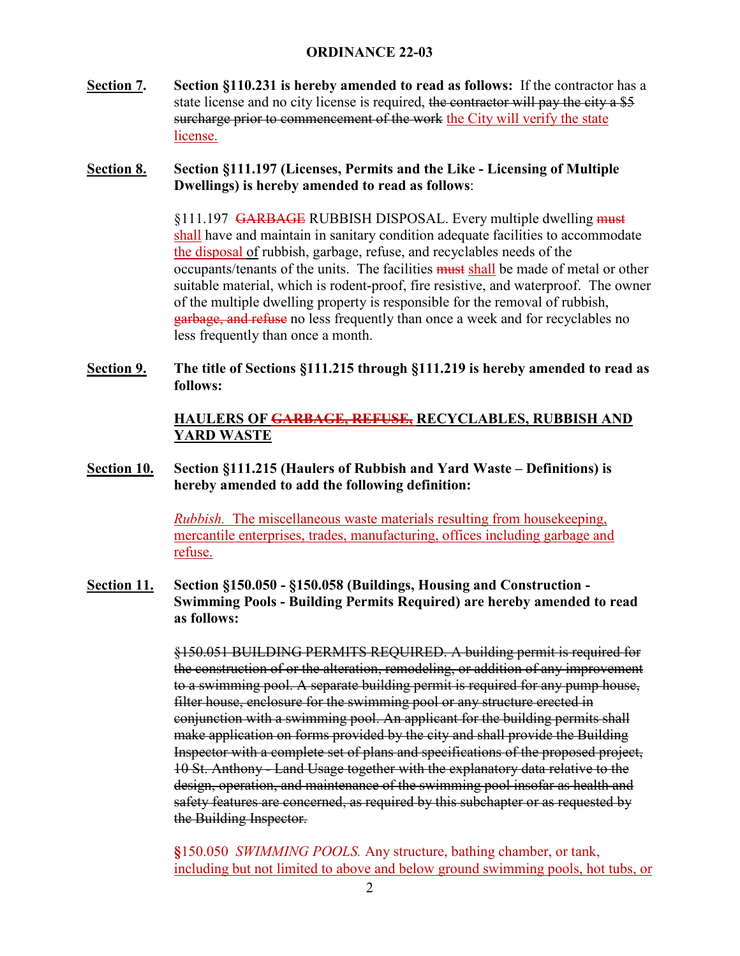**Section 7. Section §110.231 is hereby amended to read as follows:** If the contractor has a state license and no city license is required, the contractor will pay the city a \$5 surcharge prior to commencement of the work the City will verify the state license.

# **Section 8. Section §111.197 (Licenses, Permits and the Like - Licensing of Multiple Dwellings) is hereby amended to read as follows**:

§111.197 GARBAGE RUBBISH DISPOSAL. Every multiple dwelling must shall have and maintain in sanitary condition adequate facilities to accommodate the disposal of rubbish, garbage, refuse, and recyclables needs of the occupants/tenants of the units. The facilities must shall be made of metal or other suitable material, which is rodent-proof, fire resistive, and waterproof. The owner of the multiple dwelling property is responsible for the removal of rubbish, garbage, and refuse no less frequently than once a week and for recyclables no less frequently than once a month.

**Section 9. The title of Sections §111.215 through §111.219 is hereby amended to read as follows:**

# **HAULERS OF GARBAGE, REFUSE, RECYCLABLES, RUBBISH AND YARD WASTE**

# **Section 10. Section §111.215 (Haulers of Rubbish and Yard Waste – Definitions) is hereby amended to add the following definition:**

*Rubbish.* The miscellaneous waste materials resulting from housekeeping, mercantile enterprises, trades, manufacturing, offices including garbage and refuse.

**Section 11. Section §150.050 - §150.058 (Buildings, Housing and Construction - Swimming Pools - Building Permits Required) are hereby amended to read as follows:** 

> §150.051 BUILDING PERMITS REQUIRED. A building permit is required for the construction of or the alteration, remodeling, or addition of any improvement to a swimming pool. A separate building permit is required for any pump house, filter house, enclosure for the swimming pool or any structure erected in conjunction with a swimming pool. An applicant for the building permits shall make application on forms provided by the city and shall provide the Building Inspector with a complete set of plans and specifications of the proposed project, 10 St. Anthony - Land Usage together with the explanatory data relative to the design, operation, and maintenance of the swimming pool insofar as health and safety features are concerned, as required by this subchapter or as requested by the Building Inspector.

**§**150.050 *SWIMMING POOLS.* Any structure, bathing chamber, or tank, including but not limited to above and below ground swimming pools, hot tubs, or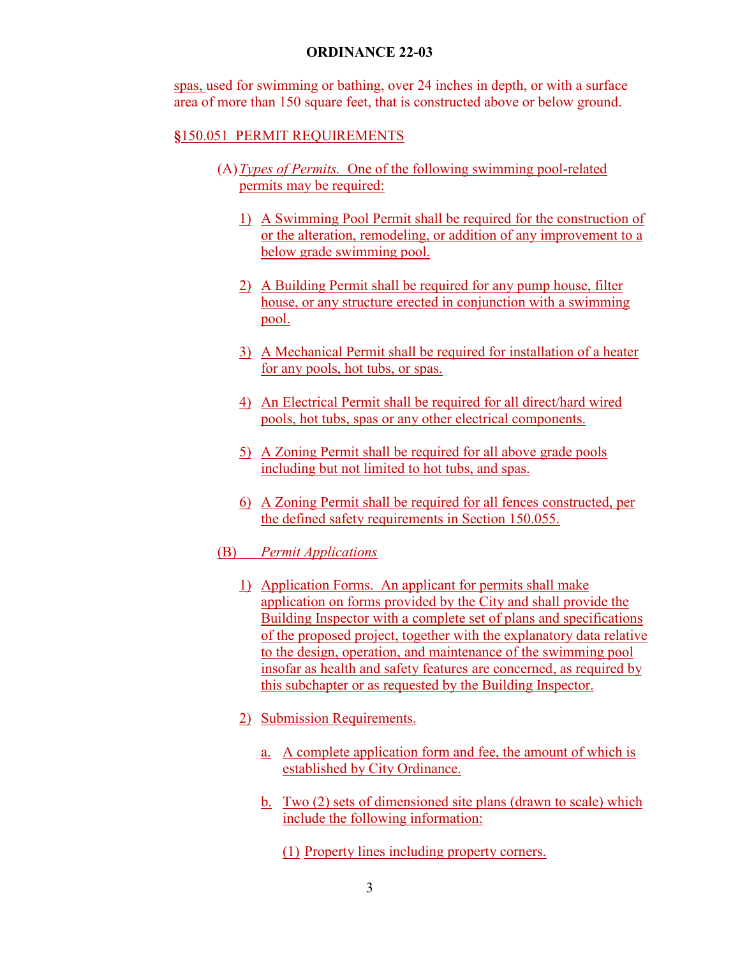spas, used for swimming or bathing, over 24 inches in depth, or with a surface area of more than 150 square feet, that is constructed above or below ground.

#### **§**150.051 PERMIT REQUIREMENTS

- (A)*Types of Permits.* One of the following swimming pool-related permits may be required:
	- 1) A Swimming Pool Permit shall be required for the construction of or the alteration, remodeling, or addition of any improvement to a below grade swimming pool.
	- 2) A Building Permit shall be required for any pump house, filter house, or any structure erected in conjunction with a swimming pool.
	- 3) A Mechanical Permit shall be required for installation of a heater for any pools, hot tubs, or spas.
	- 4) An Electrical Permit shall be required for all direct/hard wired pools, hot tubs, spas or any other electrical components.
	- 5) A Zoning Permit shall be required for all above grade pools including but not limited to hot tubs, and spas.
	- 6) A Zoning Permit shall be required for all fences constructed, per the defined safety requirements in Section 150.055.
- (B) *Permit Applications*
	- 1) Application Forms. An applicant for permits shall make application on forms provided by the City and shall provide the Building Inspector with a complete set of plans and specifications of the proposed project, together with the explanatory data relative to the design, operation, and maintenance of the swimming pool insofar as health and safety features are concerned, as required by this subchapter or as requested by the Building Inspector.
	- 2) Submission Requirements.
		- a. A complete application form and fee, the amount of which is established by City Ordinance.
		- b. Two (2) sets of dimensioned site plans (drawn to scale) which include the following information:
			- (1) Property lines including property corners.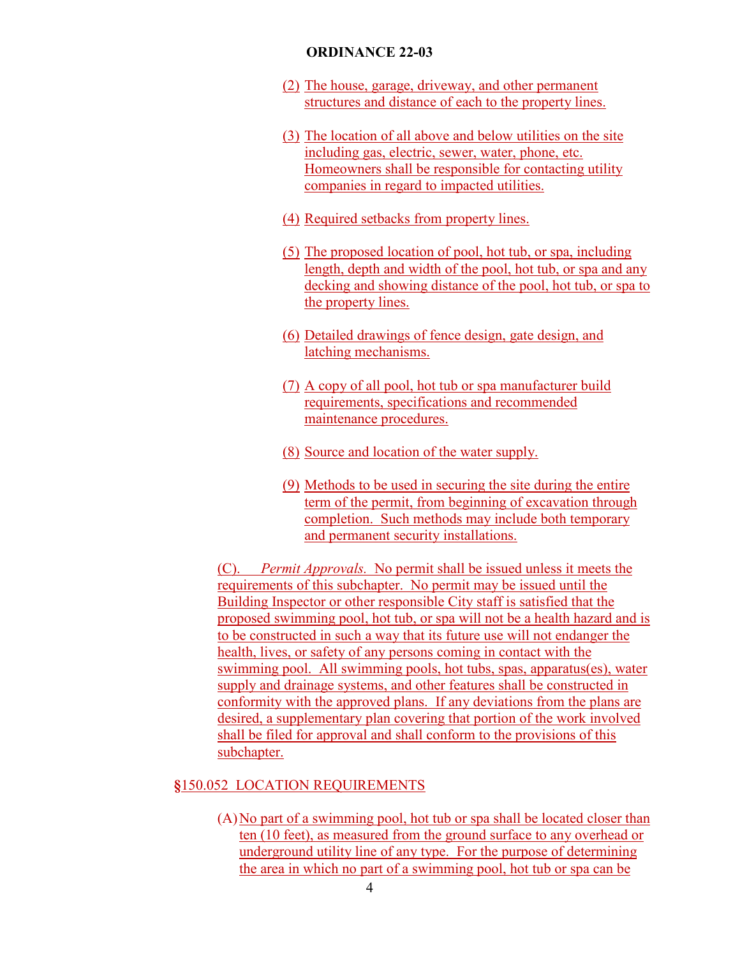- (2) The house, garage, driveway, and other permanent structures and distance of each to the property lines.
- (3) The location of all above and below utilities on the site including gas, electric, sewer, water, phone, etc. Homeowners shall be responsible for contacting utility companies in regard to impacted utilities.
- (4) Required setbacks from property lines.
- (5) The proposed location of pool, hot tub, or spa, including length, depth and width of the pool, hot tub, or spa and any decking and showing distance of the pool, hot tub, or spa to the property lines.
- (6) Detailed drawings of fence design, gate design, and latching mechanisms.
- (7) A copy of all pool, hot tub or spa manufacturer build requirements, specifications and recommended maintenance procedures.
- (8) Source and location of the water supply.
- (9) Methods to be used in securing the site during the entire term of the permit, from beginning of excavation through completion. Such methods may include both temporary and permanent security installations.

(C). *Permit Approvals.* No permit shall be issued unless it meets the requirements of this subchapter. No permit may be issued until the Building Inspector or other responsible City staff is satisfied that the proposed swimming pool, hot tub, or spa will not be a health hazard and is to be constructed in such a way that its future use will not endanger the health, lives, or safety of any persons coming in contact with the swimming pool. All swimming pools, hot tubs, spas, apparatus(es), water supply and drainage systems, and other features shall be constructed in conformity with the approved plans. If any deviations from the plans are desired, a supplementary plan covering that portion of the work involved shall be filed for approval and shall conform to the provisions of this subchapter.

### **§**150.052 LOCATION REQUIREMENTS

(A)No part of a swimming pool, hot tub or spa shall be located closer than ten (10 feet), as measured from the ground surface to any overhead or underground utility line of any type. For the purpose of determining the area in which no part of a swimming pool, hot tub or spa can be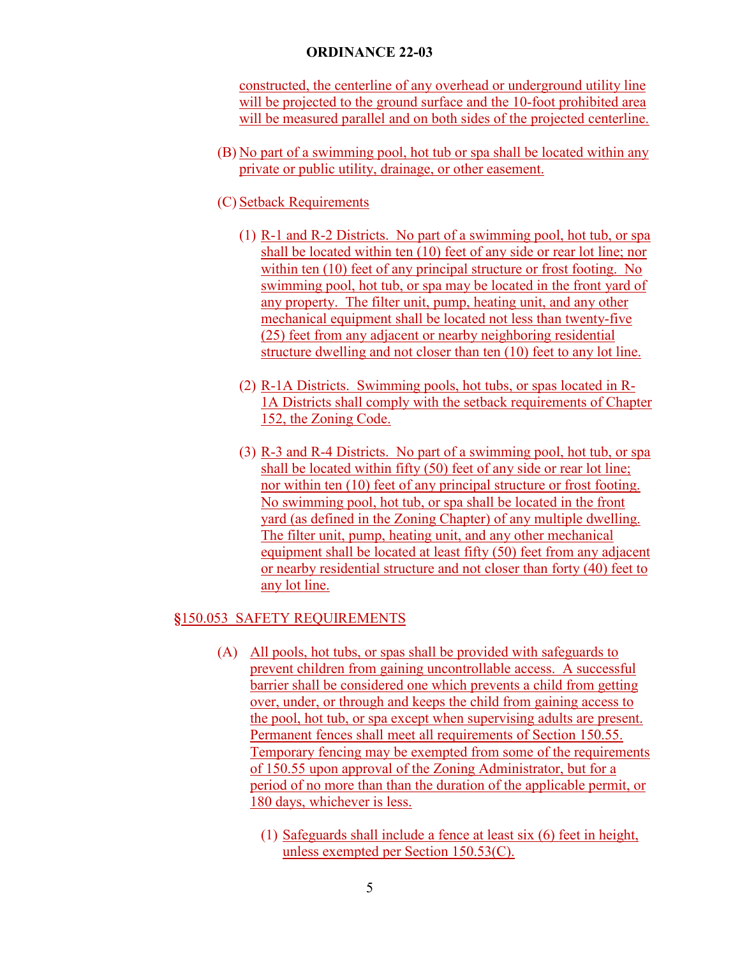constructed, the centerline of any overhead or underground utility line will be projected to the ground surface and the 10-foot prohibited area will be measured parallel and on both sides of the projected centerline.

- (B) No part of a swimming pool, hot tub or spa shall be located within any private or public utility, drainage, or other easement.
- (C) Setback Requirements
	- (1) R-1 and R-2 Districts. No part of a swimming pool, hot tub, or spa shall be located within ten (10) feet of any side or rear lot line; nor within ten (10) feet of any principal structure or frost footing. No swimming pool, hot tub, or spa may be located in the front yard of any property. The filter unit, pump, heating unit, and any other mechanical equipment shall be located not less than twenty-five (25) feet from any adjacent or nearby neighboring residential structure dwelling and not closer than ten (10) feet to any lot line.
	- (2) R-1A Districts. Swimming pools, hot tubs, or spas located in R-1A Districts shall comply with the setback requirements of Chapter 152, the Zoning Code.
	- (3) R-3 and R-4 Districts. No part of a swimming pool, hot tub, or spa shall be located within fifty (50) feet of any side or rear lot line; nor within ten (10) feet of any principal structure or frost footing. No swimming pool, hot tub, or spa shall be located in the front yard (as defined in the Zoning Chapter) of any multiple dwelling. The filter unit, pump, heating unit, and any other mechanical equipment shall be located at least fifty (50) feet from any adjacent or nearby residential structure and not closer than forty (40) feet to any lot line.

### **§**150.053 SAFETY REQUIREMENTS

- (A) All pools, hot tubs, or spas shall be provided with safeguards to prevent children from gaining uncontrollable access. A successful barrier shall be considered one which prevents a child from getting over, under, or through and keeps the child from gaining access to the pool, hot tub, or spa except when supervising adults are present. Permanent fences shall meet all requirements of Section 150.55. Temporary fencing may be exempted from some of the requirements of 150.55 upon approval of the Zoning Administrator, but for a period of no more than than the duration of the applicable permit, or 180 days, whichever is less.
	- (1) Safeguards shall include a fence at least six (6) feet in height, unless exempted per Section 150.53(C).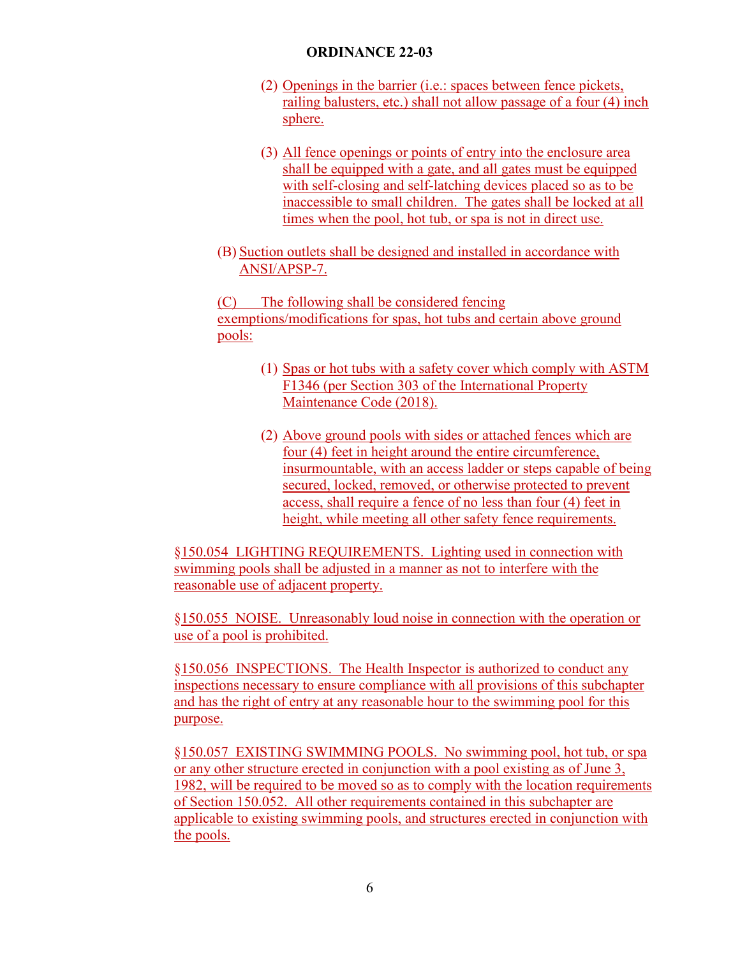- (2) Openings in the barrier (i.e.: spaces between fence pickets, railing balusters, etc.) shall not allow passage of a four (4) inch sphere.
- (3) All fence openings or points of entry into the enclosure area shall be equipped with a gate, and all gates must be equipped with self-closing and self-latching devices placed so as to be inaccessible to small children. The gates shall be locked at all times when the pool, hot tub, or spa is not in direct use.
- (B) Suction outlets shall be designed and installed in accordance with ANSI/APSP-7.

(C) The following shall be considered fencing exemptions/modifications for spas, hot tubs and certain above ground pools:

- (1) Spas or hot tubs with a safety cover which comply with ASTM F1346 (per Section 303 of the International Property Maintenance Code (2018).
- (2) Above ground pools with sides or attached fences which are four (4) feet in height around the entire circumference, insurmountable, with an access ladder or steps capable of being secured, locked, removed, or otherwise protected to prevent access, shall require a fence of no less than four (4) feet in height, while meeting all other safety fence requirements.

§150.054 LIGHTING REQUIREMENTS. Lighting used in connection with swimming pools shall be adjusted in a manner as not to interfere with the reasonable use of adjacent property.

§150.055 NOISE. Unreasonably loud noise in connection with the operation or use of a pool is prohibited.

§150.056 INSPECTIONS. The Health Inspector is authorized to conduct any inspections necessary to ensure compliance with all provisions of this subchapter and has the right of entry at any reasonable hour to the swimming pool for this purpose.

§150.057 EXISTING SWIMMING POOLS. No swimming pool, hot tub, or spa or any other structure erected in conjunction with a pool existing as of June 3, 1982, will be required to be moved so as to comply with the location requirements of Section 150.052. All other requirements contained in this subchapter are applicable to existing swimming pools, and structures erected in conjunction with the pools.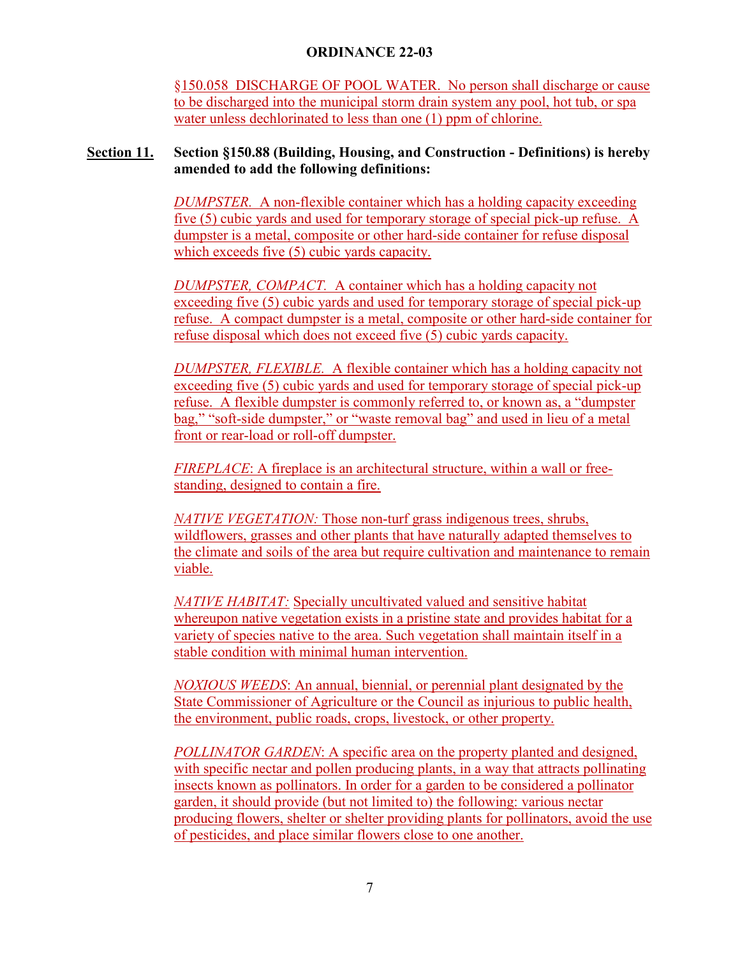§150.058 DISCHARGE OF POOL WATER. No person shall discharge or cause to be discharged into the municipal storm drain system any pool, hot tub, or spa water unless dechlorinated to less than one (1) ppm of chlorine.

# **Section 11. Section §150.88 (Building, Housing, and Construction - Definitions) is hereby amended to add the following definitions:**

*DUMPSTER.* A non-flexible container which has a holding capacity exceeding five (5) cubic yards and used for temporary storage of special pick-up refuse. A dumpster is a metal, composite or other hard-side container for refuse disposal which exceeds five (5) cubic yards capacity.

*DUMPSTER, COMPACT.* A container which has a holding capacity not exceeding five (5) cubic yards and used for temporary storage of special pick-up refuse. A compact dumpster is a metal, composite or other hard-side container for refuse disposal which does not exceed five (5) cubic yards capacity.

*DUMPSTER, FLEXIBLE.* A flexible container which has a holding capacity not exceeding five (5) cubic yards and used for temporary storage of special pick-up refuse. A flexible dumpster is commonly referred to, or known as, a "dumpster bag," "soft-side dumpster," or "waste removal bag" and used in lieu of a metal front or rear-load or roll-off dumpster.

*FIREPLACE*: A fireplace is an architectural structure, within a wall or freestanding, designed to contain a fire.

*NATIVE VEGETATION:* Those non-turf grass indigenous trees, shrubs, wildflowers, grasses and other plants that have naturally adapted themselves to the climate and soils of the area but require cultivation and maintenance to remain viable.

*NATIVE HABITAT:* Specially uncultivated valued and sensitive habitat whereupon native vegetation exists in a pristine state and provides habitat for a variety of species native to the area. Such vegetation shall maintain itself in a stable condition with minimal human intervention.

*NOXIOUS WEEDS*: An annual, biennial, or perennial plant designated by the State Commissioner of Agriculture or the Council as injurious to public health, the environment, public roads, crops, livestock, or other property.

*POLLINATOR GARDEN*: A specific area on the property planted and designed, with specific nectar and pollen producing plants, in a way that attracts pollinating insects known as pollinators. In order for a garden to be considered a pollinator garden, it should provide (but not limited to) the following: various nectar producing flowers, shelter or shelter providing plants for pollinators, avoid the use of pesticides, and place similar flowers close to one another.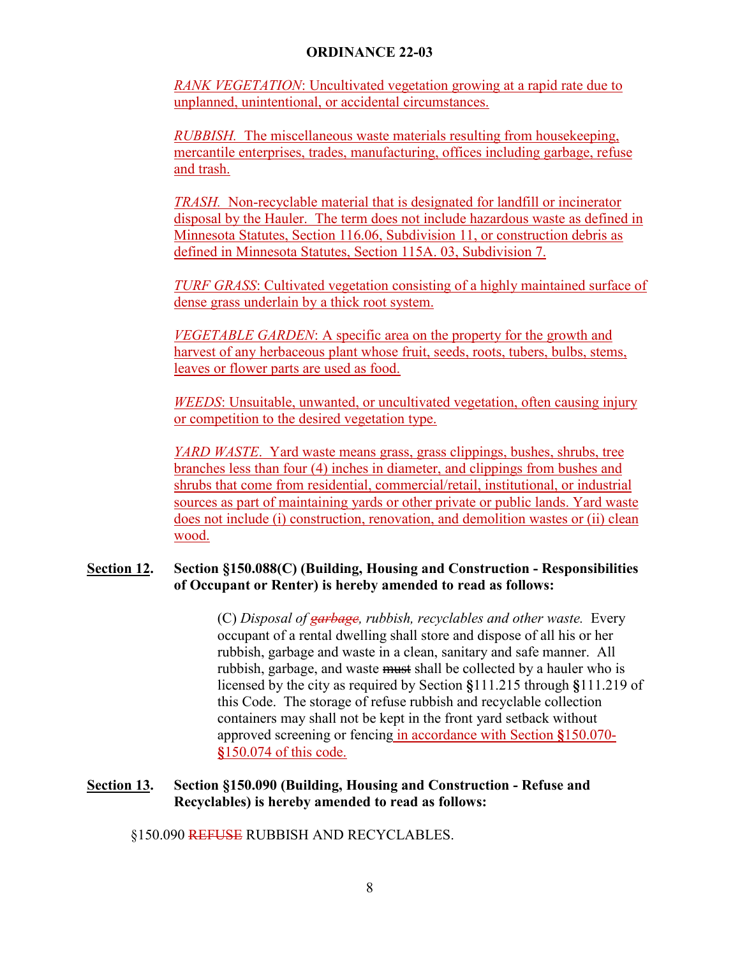*RANK VEGETATION*: Uncultivated vegetation growing at a rapid rate due to unplanned, unintentional, or accidental circumstances.

*RUBBISH.* The miscellaneous waste materials resulting from housekeeping, mercantile enterprises, trades, manufacturing, offices including garbage, refuse and trash.

*TRASH.* Non-recyclable material that is designated for landfill or incinerator disposal by the Hauler. The term does not include hazardous waste as defined in Minnesota Statutes, Section 116.06, Subdivision 11, or construction debris as defined in Minnesota Statutes, Section 115A. 03, Subdivision 7.

*TURF GRASS*: Cultivated vegetation consisting of a highly maintained surface of dense grass underlain by a thick root system.

*VEGETABLE GARDEN*: A specific area on the property for the growth and harvest of any herbaceous plant whose fruit, seeds, roots, tubers, bulbs, stems, leaves or flower parts are used as food.

*WEEDS*: Unsuitable, unwanted, or uncultivated vegetation, often causing injury or competition to the desired vegetation type.

*YARD WASTE*. Yard waste means grass, grass clippings, bushes, shrubs, tree branches less than four (4) inches in diameter, and clippings from bushes and shrubs that come from residential, commercial/retail, institutional, or industrial sources as part of maintaining yards or other private or public lands. Yard waste does not include (i) construction, renovation, and demolition wastes or (ii) clean wood.

# **Section 12. Section §150.088(C) (Building, Housing and Construction - Responsibilities of Occupant or Renter) is hereby amended to read as follows:**

(C) *Disposal of garbage, rubbish, recyclables and other waste.* Every occupant of a rental dwelling shall store and dispose of all his or her rubbish, garbage and waste in a clean, sanitary and safe manner. All rubbish, garbage, and waste must shall be collected by a hauler who is licensed by the city as required by Section **§**111.215 through **§**111.219 of this Code. The storage of refuse rubbish and recyclable collection containers may shall not be kept in the front yard setback without approved screening or fencing in accordance with Section **§**150.070- **§**150.074 of this code.

# **Section 13. Section §150.090 (Building, Housing and Construction - Refuse and Recyclables) is hereby amended to read as follows:**

§150.090 REFUSE RUBBISH AND RECYCLABLES.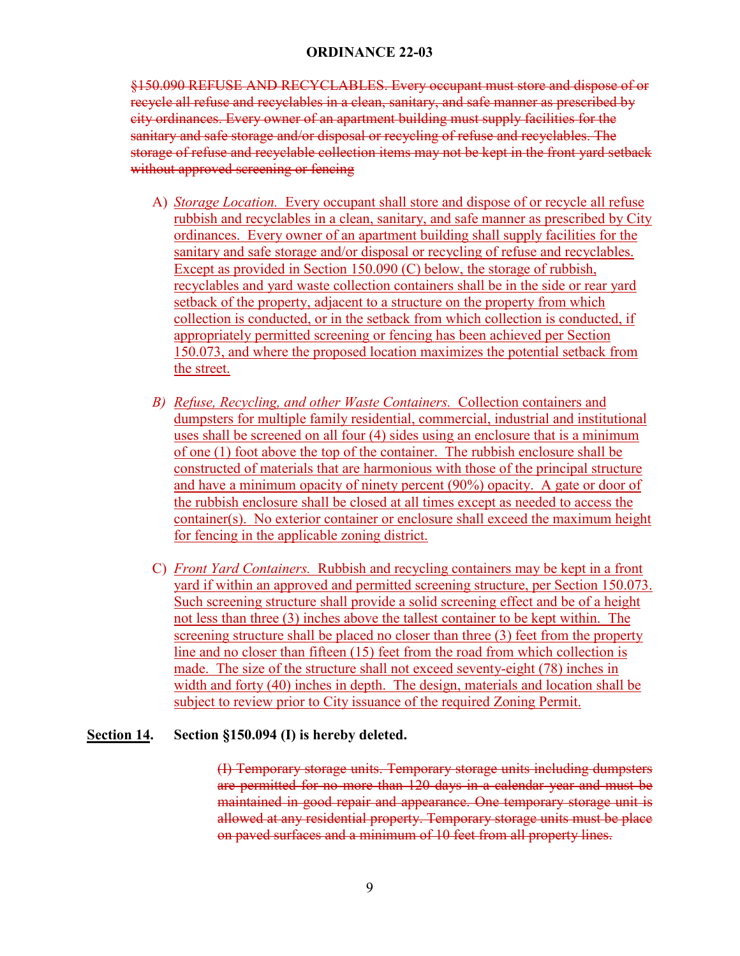§150.090 REFUSE AND RECYCLABLES. Every occupant must store and dispose of or recycle all refuse and recyclables in a clean, sanitary, and safe manner as prescribed by city ordinances. Every owner of an apartment building must supply facilities for the sanitary and safe storage and/or disposal or recycling of refuse and recyclables. The storage of refuse and recyclable collection items may not be kept in the front yard setback without approved screening or fencing

- A) *Storage Location.* Every occupant shall store and dispose of or recycle all refuse rubbish and recyclables in a clean, sanitary, and safe manner as prescribed by City ordinances. Every owner of an apartment building shall supply facilities for the sanitary and safe storage and/or disposal or recycling of refuse and recyclables. Except as provided in Section 150.090 (C) below, the storage of rubbish, recyclables and yard waste collection containers shall be in the side or rear yard setback of the property, adjacent to a structure on the property from which collection is conducted, or in the setback from which collection is conducted, if appropriately permitted screening or fencing has been achieved per Section 150.073, and where the proposed location maximizes the potential setback from the street.
- *B) Refuse, Recycling, and other Waste Containers.* Collection containers and dumpsters for multiple family residential, commercial, industrial and institutional uses shall be screened on all four (4) sides using an enclosure that is a minimum of one (1) foot above the top of the container. The rubbish enclosure shall be constructed of materials that are harmonious with those of the principal structure and have a minimum opacity of ninety percent (90%) opacity. A gate or door of the rubbish enclosure shall be closed at all times except as needed to access the container(s). No exterior container or enclosure shall exceed the maximum height for fencing in the applicable zoning district.
- C) *Front Yard Containers.* Rubbish and recycling containers may be kept in a front yard if within an approved and permitted screening structure, per Section 150.073. Such screening structure shall provide a solid screening effect and be of a height not less than three (3) inches above the tallest container to be kept within. The screening structure shall be placed no closer than three (3) feet from the property line and no closer than fifteen (15) feet from the road from which collection is made. The size of the structure shall not exceed seventy-eight (78) inches in width and forty (40) inches in depth. The design, materials and location shall be subject to review prior to City issuance of the required Zoning Permit.

### **Section 14. Section §150.094 (I) is hereby deleted.**

(I) Temporary storage units. Temporary storage units including dumpsters are permitted for no more than 120 days in a calendar year and must be maintained in good repair and appearance. One temporary storage unit is allowed at any residential property. Temporary storage units must be place on paved surfaces and a minimum of 10 feet from all property lines.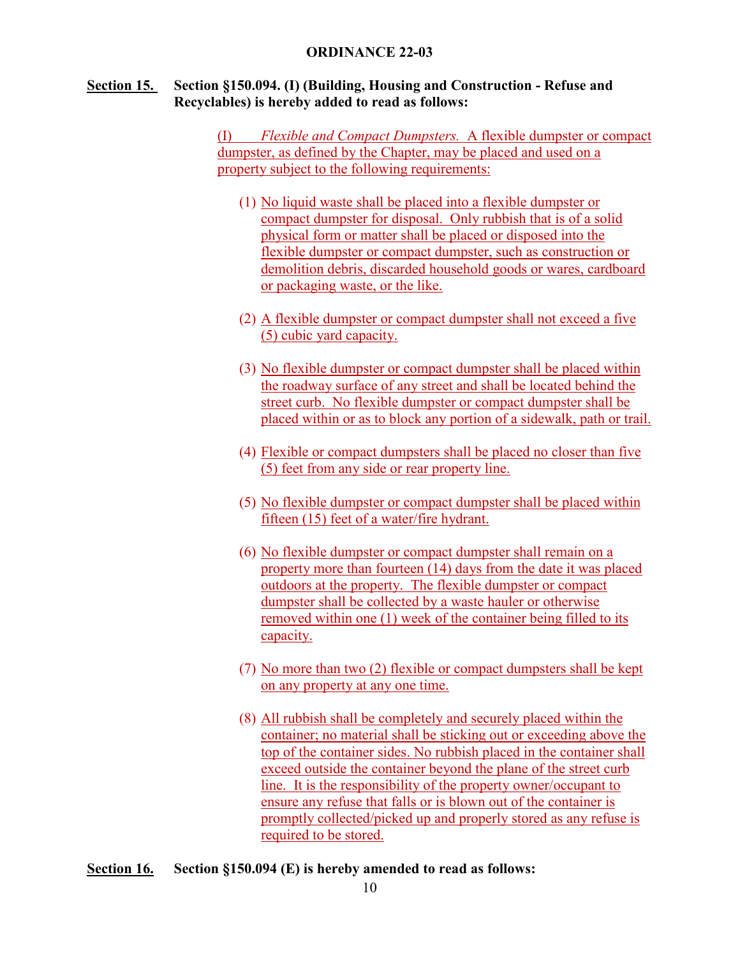## **Section 15. Section §150.094. (I) (Building, Housing and Construction - Refuse and Recyclables) is hereby added to read as follows:**

(I) *Flexible and Compact Dumpsters.* A flexible dumpster or compact dumpster, as defined by the Chapter, may be placed and used on a property subject to the following requirements:

- (1) No liquid waste shall be placed into a flexible dumpster or compact dumpster for disposal. Only rubbish that is of a solid physical form or matter shall be placed or disposed into the flexible dumpster or compact dumpster, such as construction or demolition debris, discarded household goods or wares, cardboard or packaging waste, or the like.
- (2) A flexible dumpster or compact dumpster shall not exceed a five (5) cubic yard capacity.
- (3) No flexible dumpster or compact dumpster shall be placed within the roadway surface of any street and shall be located behind the street curb. No flexible dumpster or compact dumpster shall be placed within or as to block any portion of a sidewalk, path or trail.
- (4) Flexible or compact dumpsters shall be placed no closer than five (5) feet from any side or rear property line.
- (5) No flexible dumpster or compact dumpster shall be placed within fifteen (15) feet of a water/fire hydrant.
- (6) No flexible dumpster or compact dumpster shall remain on a property more than fourteen (14) days from the date it was placed outdoors at the property. The flexible dumpster or compact dumpster shall be collected by a waste hauler or otherwise removed within one (1) week of the container being filled to its capacity.
- (7) No more than two (2) flexible or compact dumpsters shall be kept on any property at any one time.
- (8) All rubbish shall be completely and securely placed within the container; no material shall be sticking out or exceeding above the top of the container sides. No rubbish placed in the container shall exceed outside the container beyond the plane of the street curb line. It is the responsibility of the property owner/occupant to ensure any refuse that falls or is blown out of the container is promptly collected/picked up and properly stored as any refuse is required to be stored.
- **Section 16. Section §150.094 (E) is hereby amended to read as follows:**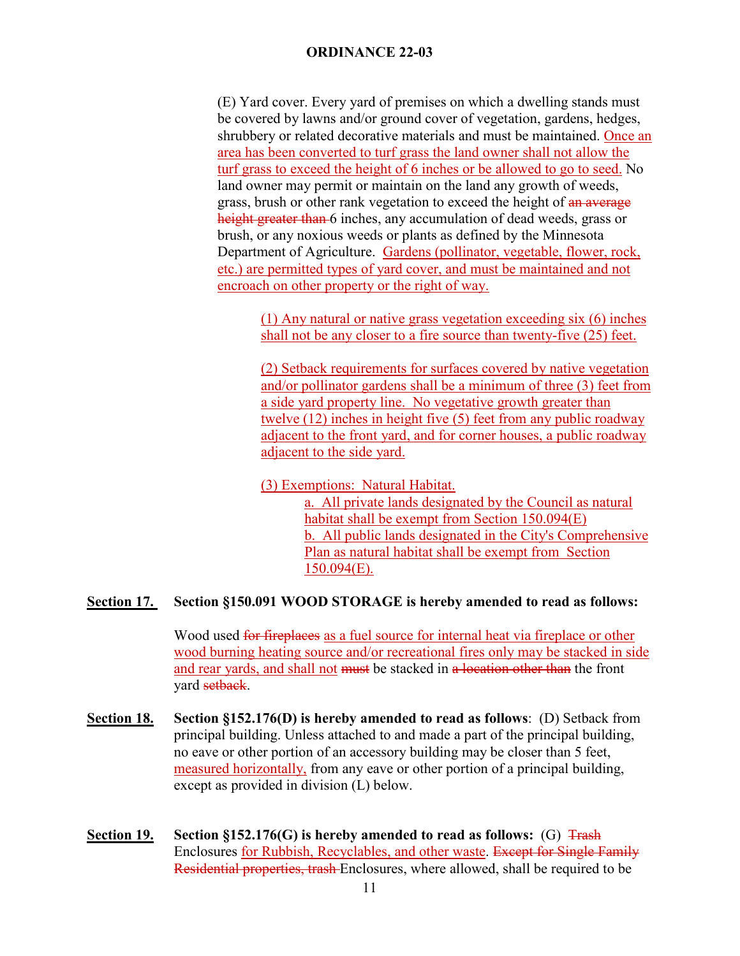(E) Yard cover. Every yard of premises on which a dwelling stands must be covered by lawns and/or ground cover of vegetation, gardens, hedges, shrubbery or related decorative materials and must be maintained. Once an area has been converted to turf grass the land owner shall not allow the turf grass to exceed the height of 6 inches or be allowed to go to seed. No land owner may permit or maintain on the land any growth of weeds, grass, brush or other rank vegetation to exceed the height of an average height greater than 6 inches, any accumulation of dead weeds, grass or brush, or any noxious weeds or plants as defined by the Minnesota Department of Agriculture. Gardens (pollinator, vegetable, flower, rock, etc.) are permitted types of yard cover, and must be maintained and not encroach on other property or the right of way.

(1) Any natural or native grass vegetation exceeding six (6) inches shall not be any closer to a fire source than twenty-five (25) feet.

(2) Setback requirements for surfaces covered by native vegetation and/or pollinator gardens shall be a minimum of three (3) feet from a side yard property line. No vegetative growth greater than twelve (12) inches in height five (5) feet from any public roadway adjacent to the front yard, and for corner houses, a public roadway adjacent to the side yard.

(3) Exemptions: Natural Habitat.

a. All private lands designated by the Council as natural habitat shall be exempt from Section 150.094(E) b. All public lands designated in the City's Comprehensive Plan as natural habitat shall be exempt from Section 150.094(E).

### **Section 17. Section §150.091 WOOD STORAGE is hereby amended to read as follows:**

Wood used for fireplaces as a fuel source for internal heat via fireplace or other wood burning heating source and/or recreational fires only may be stacked in side and rear yards, and shall not must be stacked in a location other than the front yard setback.

- **Section 18. Section §152.176(D) is hereby amended to read as follows**: (D) Setback from principal building. Unless attached to and made a part of the principal building, no eave or other portion of an accessory building may be closer than 5 feet, measured horizontally, from any eave or other portion of a principal building, except as provided in division (L) below.
- **Section 19.** Section §152.176(G) is hereby amended to read as follows: (G)  $\frac{1}{1}$ Enclosures for Rubbish, Recyclables, and other waste. Except for Single Family Residential properties, trash Enclosures, where allowed, shall be required to be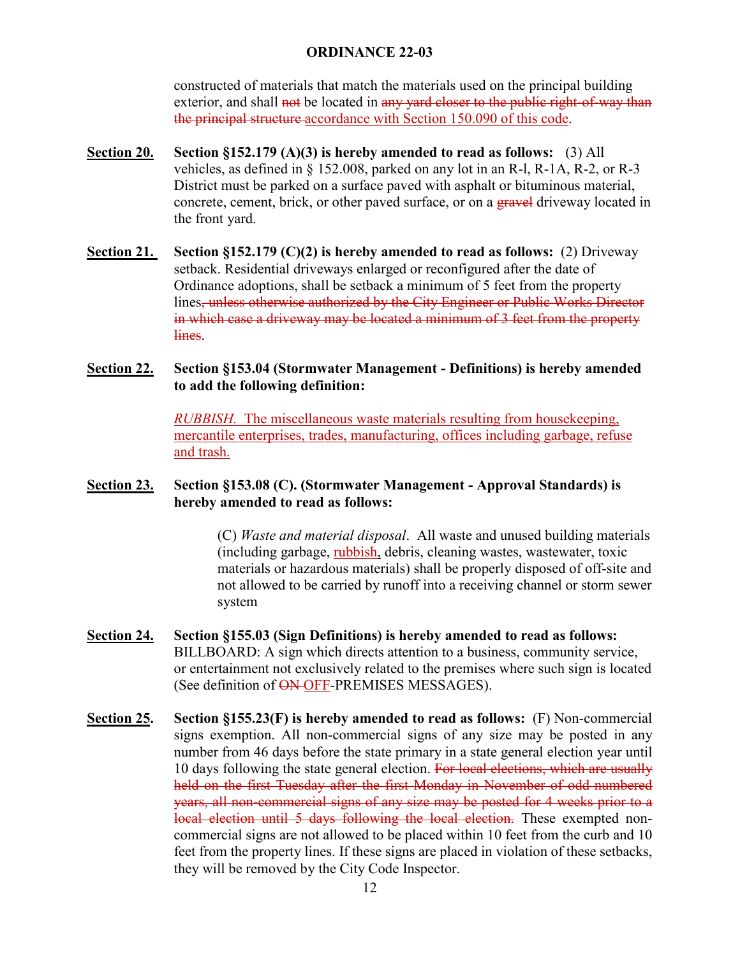constructed of materials that match the materials used on the principal building exterior, and shall not be located in any yard closer to the public right-of-way than the principal structure accordance with Section 150.090 of this code.

- **Section 20. Section §152.179 (A)(3) is hereby amended to read as follows:** (3) All vehicles, as defined in  $\S$  152.008, parked on any lot in an R-1, R-1A, R-2, or R-3 District must be parked on a surface paved with asphalt or bituminous material, concrete, cement, brick, or other paved surface, or on a gravel driveway located in the front yard.
- **Section 21. Section §152.179 (C)(2) is hereby amended to read as follows:** (2) Driveway setback. Residential driveways enlarged or reconfigured after the date of Ordinance adoptions, shall be setback a minimum of 5 feet from the property lines, unless otherwise authorized by the City Engineer or Public Works Director in which case a driveway may be located a minimum of 3 feet from the property lines.

# **Section 22. Section §153.04 (Stormwater Management - Definitions) is hereby amended to add the following definition:**

*RUBBISH.* The miscellaneous waste materials resulting from housekeeping, mercantile enterprises, trades, manufacturing, offices including garbage, refuse and trash.

## **Section 23. Section §153.08 (C). (Stormwater Management - Approval Standards) is hereby amended to read as follows:**

(C) *Waste and material disposal*. All waste and unused building materials (including garbage, rubbish, debris, cleaning wastes, wastewater, toxic materials or hazardous materials) shall be properly disposed of off-site and not allowed to be carried by runoff into a receiving channel or storm sewer system

- **Section 24. Section §155.03 (Sign Definitions) is hereby amended to read as follows:** BILLBOARD: A sign which directs attention to a business, community service, or entertainment not exclusively related to the premises where such sign is located (See definition of ON-OFF-PREMISES MESSAGES).
- **Section 25. Section §155.23(F) is hereby amended to read as follows:** (F) Non-commercial signs exemption. All non-commercial signs of any size may be posted in any number from 46 days before the state primary in a state general election year until 10 days following the state general election. For local elections, which are usually held on the first Tuesday after the first Monday in November of odd-numbered years, all non-commercial signs of any size may be posted for 4 weeks prior to a local election until 5 days following the local election. These exempted noncommercial signs are not allowed to be placed within 10 feet from the curb and 10 feet from the property lines. If these signs are placed in violation of these setbacks, they will be removed by the City Code Inspector.